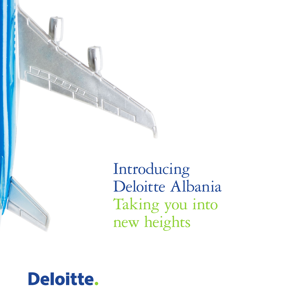

Introducing Deloitte Albania Taking you into new heights

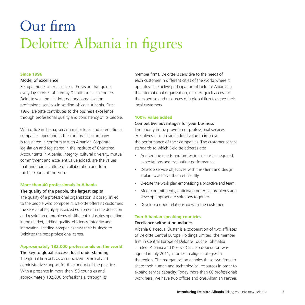## Our firm Deloitte Albania in figures

### **Since 1996**

#### Model of excellence

Being a model of excellence is the vision that guides everyday services offered by Deloitte to its customers. Deloitte was the first international organization professional services in settling office in Albania. Since 1996, Deloitte contributes to the business excellence through professional quality and consistency of its people.

With office in Tirana, serving major local and international companies operating in the country. The company is registered in conformity with Albanian Corporate legislation and registered in the Institute of Chartered Accountants in Albania. Integrity, cultural diversity, mutual commitment and excellent value added, are the values that underpin a culture of collaboration and form the backbone of the Firm.

### **More than 40 professionals in Albania**

### The quality of the people, the largest capital

The quality of a professional organization is closely linked to the people who compose it. Deloitte offers its customers the service of highly specialized equipment in the detection and resolution of problems of different industries operating in the market, adding quality, efficiency, integrity and innovation. Leading companies trust their business to Deloitte; the best professional career.

### **Approximately 182,000 professionals on the world**

### The key to global success, local understanding

The global firm acts as a centralized technical and administrative support for the conduct of the practice. With a presence in more than150 countries and approximately 182,000 professionals, through its

member firms, Deloitte is sensitive to the needs of each customer in different cities of the world where it operates. The active participation of Deloitte Albania in the international organization, ensures quick access to the expertise and resources of a global firm to serve their local customers.

### **100% value added**

### Competitive advantages for your business

The priority in the provision of professional services executives is to provide added value to improve the performance of their companies. The customer service standards to which Deloitte adheres are:

- Analyze the needs and professional services required, expectations and evaluating performance.
- Develop service objectives with the client and design a plan to achieve them efficiently.
- Execute the work plan emphasizing a proactive and team.
- Meet commitments, anticipate potential problems and develop appropriate solutions together.
- Develop a good relationship with the customer.

### **Two Albanian speaking countries**

### Excellence without boundaries

Albania & Kosova Cluster is a cooperation of two affiliates of Deloitte Central Europe Holdings Limited, the member firm in Central Europe of Deloitte Touche Tohmatsu Limited. Albania and Kosova Cluster cooperation was agreed in July 2011, in order to align strategies in the region. The reorganization enables these two firms to share their human and technological resources in order to expand service capacity. Today more than 60 professionals work here, we have two offices and one Albanian Partner.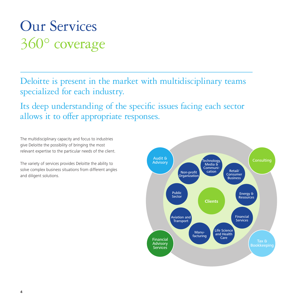### Our Services 360° coverage

Deloitte is present in the market with multidisciplinary teams specialized for each industry.

Its deep understanding of the specific issues facing each sector allows it to offer appropriate responses.

The multidisciplinary capacity and focus to industries give Deloitte the possibility of bringing the most relevant expertise to the particular needs of the client.

The variety of services provides Deloitte the ability to solve complex business situations from different angles and diligent solutions.

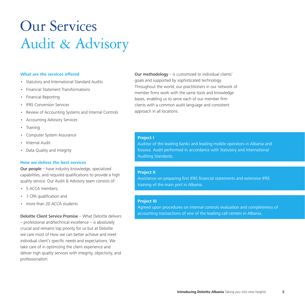### Our Services Audit & Advisory

### **What are the services offered**

- Statutory and International Standard Audits
- Financial Statement Transformations
- Financial Reporting
- IFRS Conversion Services
- Review of Accounting Systems and Internal Controls
- Accounting Advisory Services
- **Training**
- Computer System Assurance
- Internal Audit
- Data Quality and Integrity

#### **How we deliver the best services**

Our people – have industry knowledge, specialized capabilities, and required qualifications to provide a high quality service. Our Audit & Advisory team consists of:

- 5 ACCA members,
- 1 CPA qualification and
- more than 20 ACCA students

Deloitte Client Service Promise – What Deloitte delivers

– professional and/technical excellence – is absolutely crucial and remains top priority for us but at Deloitte we care most of How we can better achieve and meet individual client's specific needs and expectations. We take care of in optimizing the client experience and deliver high quality services with integrity, objectivity, and professionalism.

Our methodology – is customized to individual clients' goals and supported by sophisticated technology. Throughout the world, our practitioners in our network of member firms work with the same tools and knowledge bases, enabling us to serve each of our member firm clients with a common audit language and consistent approach in all locations.

#### **Project I**

Auditor of the leading banks and leading mobile operators in Albania and Kosova. Audit performed in accordance with Statutory and International Auditing Standards.

### **Project II**

Assistance on preparing first IFRS financial statements and extensive IFRS training of the main port in Albania.

### **Project III**

Agreed upon procedures on internal controls evaluation and completeness of accounting transactions of one of the leading call centers in Albania.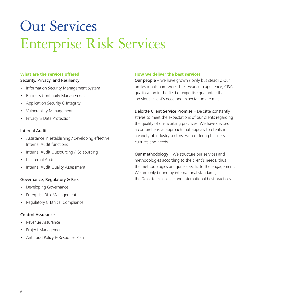# Our Services Enterprise Risk Services

### **What are the services offered** Security, Privacy, and Resiliency

- Information Security Management System
- Business Continuity Management
- Application Security & Integrity
- Vulnerability Management
- Privacy & Data Protection

### Internal Audit

- Assistance in establishing / developing effective Internal Audit functions
- Internal Audit Outsourcing / Co-sourcing
- IT Internal Audit
- Internal Audit Quality Assessment

### Governance, Regulatory & Risk

- Developing Governance
- Enterprise Risk Management
- Regulatory & Ethical Compliance

### Control Assurance

- Revenue Assurance
- Project Management
- Antifraud Policy & Response Plan

### **How we deliver the best services**

Our people – we have grown slowly but steadily. Our professionals hard work, their years of experience, CISA qualification in the field of expertise guarantee that individual client's need and expectation are met.

Deloitte Client Service Promise – Deloitte constantly strives to meet the expectations of our clients regarding the quality of our working practices. We have devised a comprehensive approach that appeals to clients in a variety of industry sectors, with differing business cultures and needs.

Our methodology – We structure our services and methodologies according to the client's needs, thus the methodologies are quite specific to the engagement. We are only bound by international standards, the Deloitte excellence and international best practices.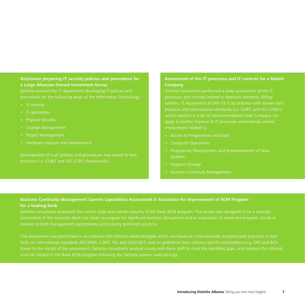### **Assistance preparing IT security policies and procedures for a Large Albanian Owned Investment Group.**

Deloitte assisted the IT department developing IT policies and procedures for the following areas of the Information Technology:

- • IS security
- IS operations
- Physical Security
- • Change Management
- • Project Management
- • Hardware support and maintenance

practices (i.e. COBIT and ISO 27001 frameworks).

### **Assessment of the IT processes and IT controls for a Mobile Company**

Deloitte consultants performed a deep assessment of the IT processes and controls related to Network elements, Billing systems, IT equipments & SAP r/3 in accordance with known best practices and international standards (i.e. COBIT and ISO 27001), which resulted in a set of recommendations that Company can apply to further improve its IT processes and internal control environment related to:

- • Access to Programmes and Data
- • Computer Operations
- • Programme Development and Implementation of New
- Program Change
- Business Continuity Management

### **Business Continuity Management Current Capabilities Assessment & Assistance for Improvement of BCM Program for a leading Bank**

Deloitte consultants evaluated the current state and overall maturity of the Bank BCM program. The review was designed to be a strategic assessment of the measures Bank has taken to prepare for significant business disruptions and an evaluation of where the program stands in relation to both management expectations and industry preferred practices.

The assessment was performed in accordance with Deloitte methodologies which are based on internationally accepted best practices in that field, on international standards (BS25999, COBIT, ITIL and ISO27001) and on guidelines from industry specific associations (e.g. DRII and BCI). Based to the results of the assessment, Deloitte consultants worked closely with Bank staff to close the identified gaps, and improve the internal controls related to the Bank BCM program following the Deloitte proven methodology.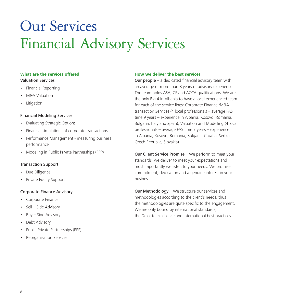## Our Services Financial Advisory Services

### **What are the services offered** Valuation Services

- Financial Reporting
- M&A Valuation
- Litigation

### Financial Modeling Services:

- Evaluating Strategic Options
- Financial simulations of corporate transactions
- Performance Management measuring business performance
- Modeling in Public Private Partnerships (PPP)

### Transaction Support

- Due Diligence
- Private Equity Support

### Corporate Finance Advisory

- Corporate Finance
- Sell Side Advisory
- Buy Side Advisory
- Debt Advisory
- Public Private Partnerships (PPP)
- Reorganisation Services

### **How we deliver the best services**

**Our people** – a dedicated financial advisory team with an average of more than 8 years of advisory experience. The team holds ASA, CF and ACCA qualifications. We are the only Big 4 in Albania to have a local experienced team for each of the service lines: Corporate Finance /M&A transaction Services (4 local professionals – average FAS time 9 years – experience in Albania, Kosovo, Romania, Bulgaria, Italy and Spain), Valuation and Modelling (4 local professionals – average FAS time 7 years – experience in Albania, Kosovo, Romania, Bulgaria, Croatia, Serbia, Czech Republic, Slovakia).

Our Client Service Promise – We perform to meet your standards, we deliver to meet your expectations and most importantly we listen to your needs. We promise commitment, dedication and a genuine interest in your business.

Our Methodology – We structure our services and methodologies according to the client's needs, thus the methodologies are quite specific to the engagement. We are only bound by international standards, the Deloitte excellence and international best practices.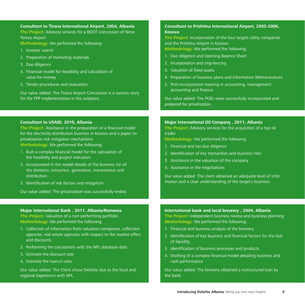### **Consultant to Tirana International Airport, 2004, Albania**

**The Project:** Advisory services for a BOOT Concession of Nene Tereza Airport

**Methodology:** We performed the following:

- 1. Investor search
- 2. Preparation of marketing materials
- 3. Due diligence
- 4. Financial model for feasibility and calculation of value-for-money
- 5. Tender procedures and evaluation

Our value added: The Tirana Airport Concession is a success story for the PPP implementation in the aviations.

### **Consultant to USAID, 2010, Albania**

**The Project:** Assistance in the preparation of a financial model for the electricity distribution business in Kosovo and a paper on privatization risk mitigation mechanisms **Methodology:** We performed the following:

1. Built a complex financial model for the calculation of the feasibility and project indicators

- 2. Incorporated in the model details of the business for all the divisions: extraction, generation, transmission and distribution.
- 3. Identification of risk factors and mitigation

Our value added: The privatization was successfully ended.

### **Major International Bank , 2011, Albania/Romania**

**The Project:** Valuation of a non-performing portfolio **Methodology:** We performed the following:

- 1. Collection of information from valuation companies, collection agencies, real estate agencies with respect to the market offers and discounts
- 2. Performing the calculations with the NPL database data
- 3. Estimate the discount rate
- 4. Estimate the haircut ratio

Our value added: The Client chose Deloitte due to the local and regional experience with NPL.

### **Consultant to Prishtina International Airport, 2005-2006, Kosova**

**The Project:** Incorporation of the four largest utility companies and the Prishtina Airport in Kosovo

**Methodology:** We performed the following:

- 1. Due diligence and Opening Balance Sheet
- 2. Incorporation and ring-fencing
- 3. Valuation of fixed assets
- 4. Preparation of business plans and Information Memorandums
- 5. Post-incorporation training in accounting, management accounting and finance

Our value added: The POEs were successfully incorporated and prepared for privatization.

### **Major International Oil Company , 2011, Albania**

**The Project:** Advisory services for the acquisition of a top oil trader

**Methodology:** We performed the following:

- 1. Financial and tax due diligence
- 2. Identification of key transaction and business risks
- 3. Assistance in the valuation of the company
- 4. Assistance in the negotiations

Our value added: The client obtained an adequate level of information and a clear understanding of the target's business.

### **International bank and local brewery , 2004, Albania The Project:** Independent business review and business planning **Methodology:** We performed the following:

- 1. Financial and business analysis of the brewery
- 2. Identification of key business and financial factors for the lack of liquidity
- 3. Identification of business processes and products
- 4. Drafting of a complex financial model detailing business and cash performance

Our value added: The brewery obtained a restructured loan by the bank.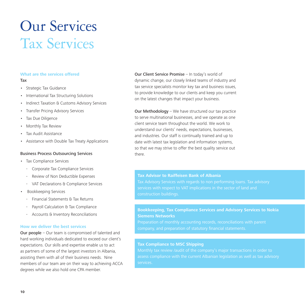### Our Services Tax Services

### **What are the services offered** Tax

- Strategic Tax Guidance
- International Tax Structuring Solutions
- Indirect Taxation & Customs Advisory Services
- Transfer Pricing Advisory Services
- Tax Due Diligence
- Monthly Tax Review
- Tax Audit Assistance
- Assistance with Double Tax Treaty Applications

### Business Process Outsourcing Services

- Tax Compliance Services
	- Corporate Tax Compliance Services
	- Review of Non Deductible Expenses
	- VAT Declarations & Compliance Services
- Bookkeeping Services
	- Financial Statements & Tax Returns
	- Payroll Calculation & Tax Compliance
	- Accounts & Inventory Reconciliations

### **How we deliver the best services**

Our people – Our team is compromised of talented and hard working individuals dedicated to exceed our client's expectations. Our skills and expertise enable us to act as partners of some of the largest investors in Albania, assisting them with all of their business needs. Nine members of our team are on their way to achieving ACCA degrees while we also hold one CPA member.

Our Client Service Promise – In today's world of dynamic change, our closely linked teams of industry and tax service specialists monitor key tax and business issues, to provide knowledge to our clients and keep you current on the latest changes that impact your business.

Our Methodology – We have structured our tax practice to serve multinational businesses, and we operate as one client service team throughout the world. We work to understand our clients' needs, expectations, businesses, and industries. Our staff is continually trained and up to date with latest tax legislation and information systems. so that we may strive to offer the best quality service out there.

### **Tax Advisor to Raiffeisen Bank of Albania**

construction buildings.

### **Bookkeeping, Tax Compliance Services and Advisory Services to Nokia Siemens Networks**

Preparation of monthly accounting records, reconciliations with parent company, and preparation of statutory financial statements.

### **Tax Compliance to MSC Shipping**

assess compliance with the current Albanian legislation as well as tax advisory services.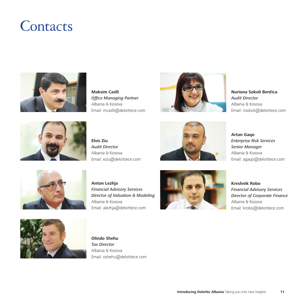### **Contacts**



**Maksim Caslli**  *Office Managing Partner*  Albania & Kosova Email: mcaslli@deloittece.com



**Nuriona Sokoli Berdica** *Audit Director* Albania & Kosova Email: nsokoli@deloittece.com



**Elvis Ziu** *Audit Director* Albania & Kosova Email: eziu@deloittece.com



**Artan Gaqo** *Enterprise Risk Services Senior Manager*  Albania & Kosova Email: agaqo@deloittece.com



**Anton Lezhja** *Financial Advisory Services Director of Valuation & Modeling* Albania & Kosova Email: alezhja@deloittece.com



**Kreshnik Robo**  *Financial Advisory Services Director of Corporate Finance* Albania & Kosova Email: krobo@deloittece.com



**Olindo Shehu** *Tax Director*  Albania & Kosova Email: oshehu@deloittece.com